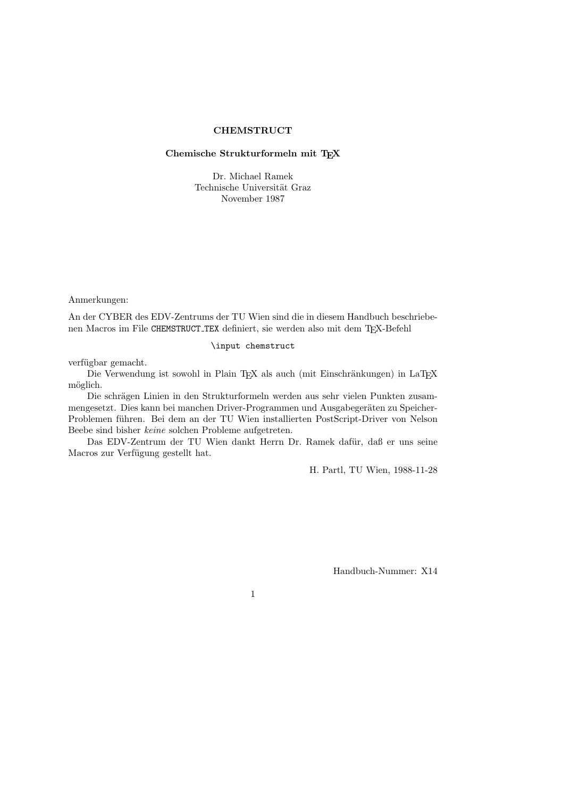## **CHEMSTRUCT**

## Chemische Strukturformeln mit TEX

Dr. Michael Ramek Technische Universität Graz November 1987

Anmerkungen:

An der CYBER des EDV-Zentrums der TU Wien sind die in diesem Handbuch beschriebenen Macros im File CHEMSTRUCT TEX definiert, sie werden also mit dem TEX-Befehl

#### \input chemstruct

verfügbar gemacht.

Die Verwendung ist sowohl in Plain TEX als auch (mit Einschränkungen) in LaTEX möglich.

Die schrägen Linien in den Strukturformeln werden aus sehr vielen Punkten zusammengesetzt. Dies kann bei manchen Driver-Programmen und Ausgabegeräten zu Speicher-Problemen führen. Bei dem an der TU Wien installierten PostScript-Driver von Nelson Beebe sind bisher keine solchen Probleme aufgetreten.

Das EDV-Zentrum der TU Wien dankt Herrn Dr. Ramek dafür, daß er uns seine Macros zur Verfügung gestellt hat.

H. Partl, TU Wien, 1988-11-28

Handbuch-Nummer: X14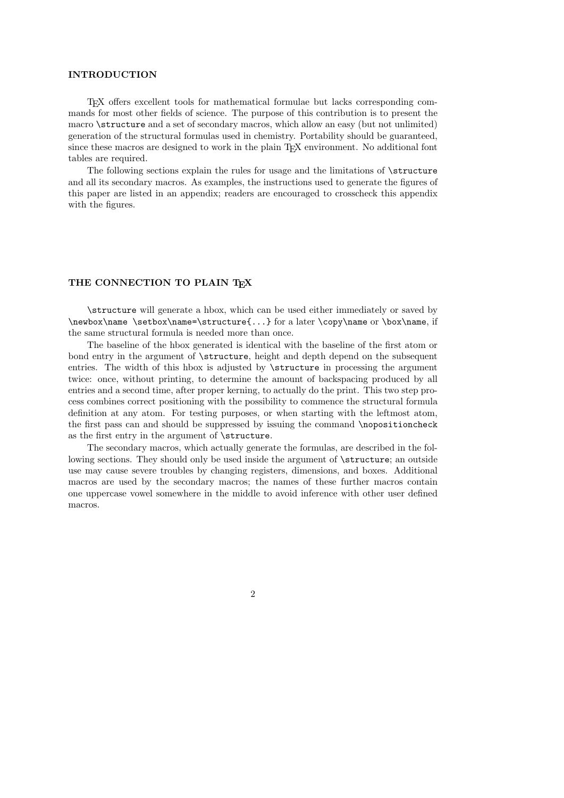#### INTRODUCTION

TEX offers excellent tools for mathematical formulae but lacks corresponding commands for most other fields of science. The purpose of this contribution is to present the macro \structure and a set of secondary macros, which allow an easy (but not unlimited) generation of the structural formulas used in chemistry. Portability should be guaranteed, since these macros are designed to work in the plain TEX environment. No additional font tables are required.

The following sections explain the rules for usage and the limitations of \structure and all its secondary macros. As examples, the instructions used to generate the figures of this paper are listed in an appendix; readers are encouraged to crosscheck this appendix with the figures.

# THE CONNECTION TO PLAIN TEX

\structure will generate a hbox, which can be used either immediately or saved by \newbox\name \setbox\name=\structure{...} for a later \copy\name or \box\name, if the same structural formula is needed more than once.

The baseline of the hbox generated is identical with the baseline of the first atom or bond entry in the argument of \structure, height and depth depend on the subsequent entries. The width of this hbox is adjusted by \structure in processing the argument twice: once, without printing, to determine the amount of backspacing produced by all entries and a second time, after proper kerning, to actually do the print. This two step process combines correct positioning with the possibility to commence the structural formula definition at any atom. For testing purposes, or when starting with the leftmost atom, the first pass can and should be suppressed by issuing the command \nopositioncheck as the first entry in the argument of \structure.

The secondary macros, which actually generate the formulas, are described in the following sections. They should only be used inside the argument of  $\structure$ ; an outside use may cause severe troubles by changing registers, dimensions, and boxes. Additional macros are used by the secondary macros; the names of these further macros contain one uppercase vowel somewhere in the middle to avoid inference with other user defined macros.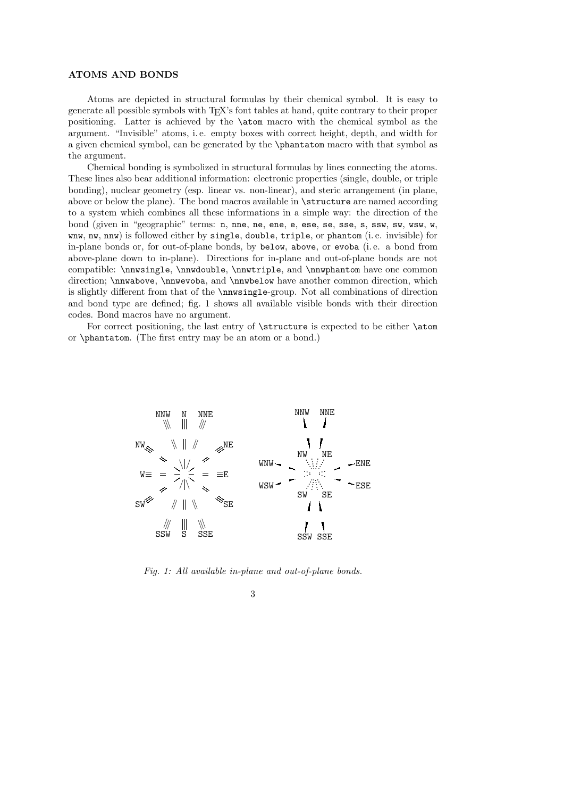## ATOMS AND BONDS

Atoms are depicted in structural formulas by their chemical symbol. It is easy to generate all possible symbols with TEX's font tables at hand, quite contrary to their proper positioning. Latter is achieved by the \atom macro with the chemical symbol as the argument. "Invisible" atoms, i. e. empty boxes with correct height, depth, and width for a given chemical symbol, can be generated by the \phantatom macro with that symbol as the argument.

Chemical bonding is symbolized in structural formulas by lines connecting the atoms. These lines also bear additional information: electronic properties (single, double, or triple bonding), nuclear geometry (esp. linear vs. non-linear), and steric arrangement (in plane, above or below the plane). The bond macros available in \structure are named according to a system which combines all these informations in a simple way: the direction of the bond (given in "geographic" terms: n, nne, ne, ene, e, ese, se, sse, s, ssw, sw, wsw, w, wnw, nw, nnw) is followed either by single, double, triple, or phantom (i. e. invisible) for in-plane bonds or, for out-of-plane bonds, by below, above, or evoba (i. e. a bond from above-plane down to in-plane). Directions for in-plane and out-of-plane bonds are not compatible: \nnwsingle, \nnwdouble, \nnwtriple, and \nnwphantom have one common direction; \nnwabove, \nnwevoba, and \nnwbelow have another common direction, which is slightly different from that of the \nnwsingle-group. Not all combinations of direction and bond type are defined; fig. 1 shows all available visible bonds with their direction codes. Bond macros have no argument.

For correct positioning, the last entry of **\structure** is expected to be either **\atom** or \phantatom. (The first entry may be an atom or a bond.)



Fig. 1: All available in-plane and out-of-plane bonds.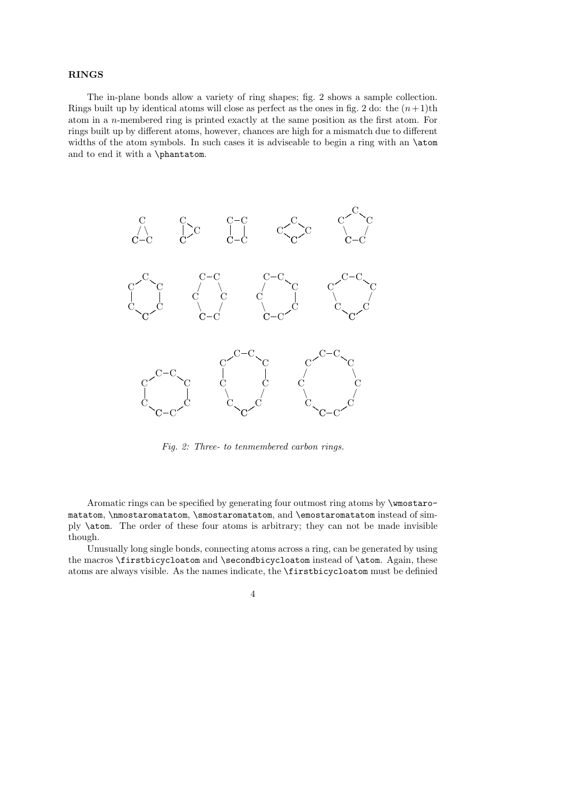#### RINGS

The in-plane bonds allow a variety of ring shapes; fig. 2 shows a sample collection. Rings built up by identical atoms will close as perfect as the ones in fig. 2 do: the  $(n+1)$ th atom in a n-membered ring is printed exactly at the same position as the first atom. For rings built up by different atoms, however, chances are high for a mismatch due to different widths of the atom symbols. In such cases it is adviseable to begin a ring with an **\atom** and to end it with a \phantatom.



Fig. 2: Three- to tenmembered carbon rings.

Aromatic rings can be specified by generating four outmost ring atoms by \wmostaromatatom, \nmostaromatatom, \smostaromatatom, and \emostaromatatom instead of simply \atom. The order of these four atoms is arbitrary; they can not be made invisible though.

Unusually long single bonds, connecting atoms across a ring, can be generated by using the macros \firstbicycloatom and \secondbicycloatom instead of \atom. Again, these atoms are always visible. As the names indicate, the \firstbicycloatom must be definied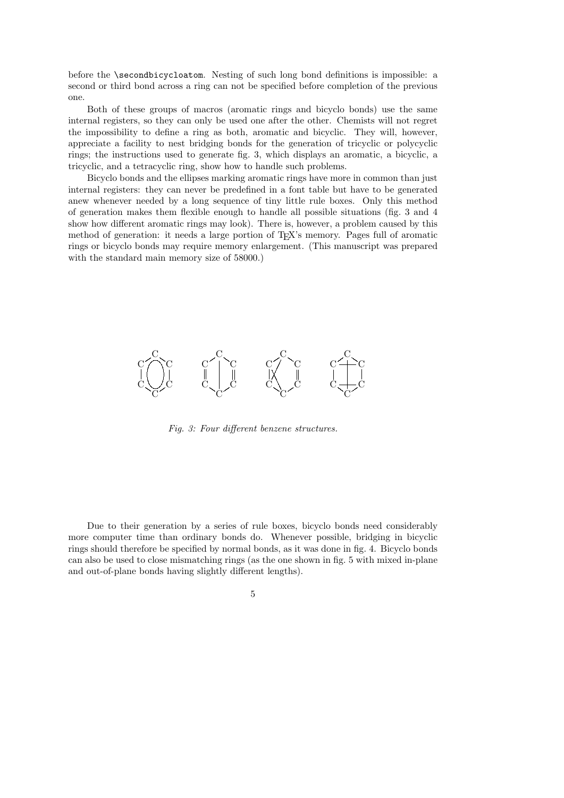before the \secondbicycloatom. Nesting of such long bond definitions is impossible: a second or third bond across a ring can not be specified before completion of the previous one.

Both of these groups of macros (aromatic rings and bicyclo bonds) use the same internal registers, so they can only be used one after the other. Chemists will not regret the impossibility to define a ring as both, aromatic and bicyclic. They will, however, appreciate a facility to nest bridging bonds for the generation of tricyclic or polycyclic rings; the instructions used to generate fig. 3, which displays an aromatic, a bicyclic, a tricyclic, and a tetracyclic ring, show how to handle such problems.

Bicyclo bonds and the ellipses marking aromatic rings have more in common than just internal registers: they can never be predefined in a font table but have to be generated anew whenever needed by a long sequence of tiny little rule boxes. Only this method of generation makes them flexible enough to handle all possible situations (fig. 3 and 4 show how different aromatic rings may look). There is, however, a problem caused by this method of generation: it needs a large portion of T<sub>E</sub>X's memory. Pages full of aromatic rings or bicyclo bonds may require memory enlargement. (This manuscript was prepared with the standard main memory size of 58000.)



Fig. 3: Four different benzene structures.

Due to their generation by a series of rule boxes, bicyclo bonds need considerably more computer time than ordinary bonds do. Whenever possible, bridging in bicyclic rings should therefore be specified by normal bonds, as it was done in fig. 4. Bicyclo bonds can also be used to close mismatching rings (as the one shown in fig. 5 with mixed in-plane and out-of-plane bonds having slightly different lengths).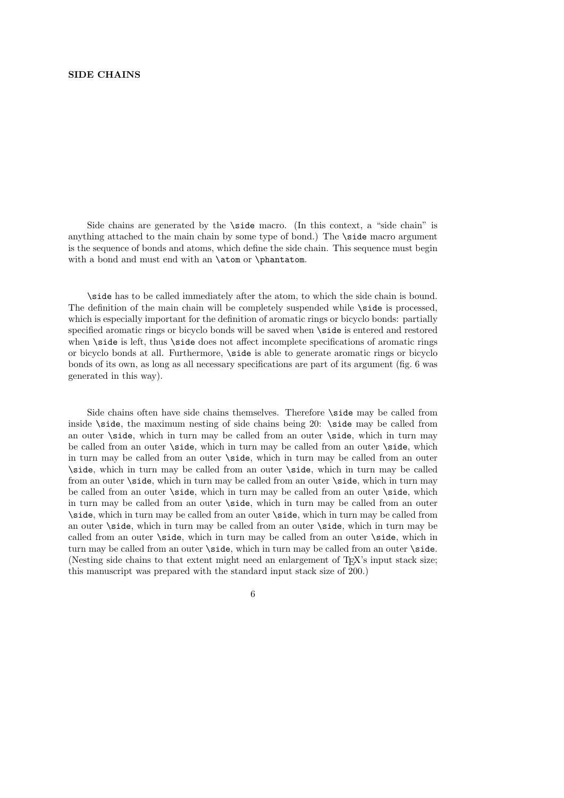#### SIDE CHAINS

Side chains are generated by the \side macro. (In this context, a "side chain" is anything attached to the main chain by some type of bond.) The \side macro argument is the sequence of bonds and atoms, which define the side chain. This sequence must begin with a bond and must end with an **\atom** or **\phantatom.** 

\side has to be called immediately after the atom, to which the side chain is bound. The definition of the main chain will be completely suspended while  $\succeq$  is processed, which is especially important for the definition of aromatic rings or bicyclo bonds: partially specified aromatic rings or bicyclo bonds will be saved when \side is entered and restored when **\side** is left, thus **\side** does not affect incomplete specifications of aromatic rings or bicyclo bonds at all. Furthermore, \side is able to generate aromatic rings or bicyclo bonds of its own, as long as all necessary specifications are part of its argument (fig. 6 was generated in this way).

Side chains often have side chains themselves. Therefore \side may be called from inside \side, the maximum nesting of side chains being 20: \side may be called from an outer \side, which in turn may be called from an outer \side, which in turn may be called from an outer \side, which in turn may be called from an outer \side, which in turn may be called from an outer \side, which in turn may be called from an outer \side, which in turn may be called from an outer \side, which in turn may be called from an outer \side, which in turn may be called from an outer \side, which in turn may be called from an outer \side, which in turn may be called from an outer \side, which in turn may be called from an outer \side, which in turn may be called from an outer \side, which in turn may be called from an outer \side, which in turn may be called from an outer \side, which in turn may be called from an outer \side, which in turn may be called from an outer \side, which in turn may be called from an outer \side, which in turn may be called from an outer \side, which in turn may be called from an outer \side. (Nesting side chains to that extent might need an enlargement of TEX's input stack size; this manuscript was prepared with the standard input stack size of 200.)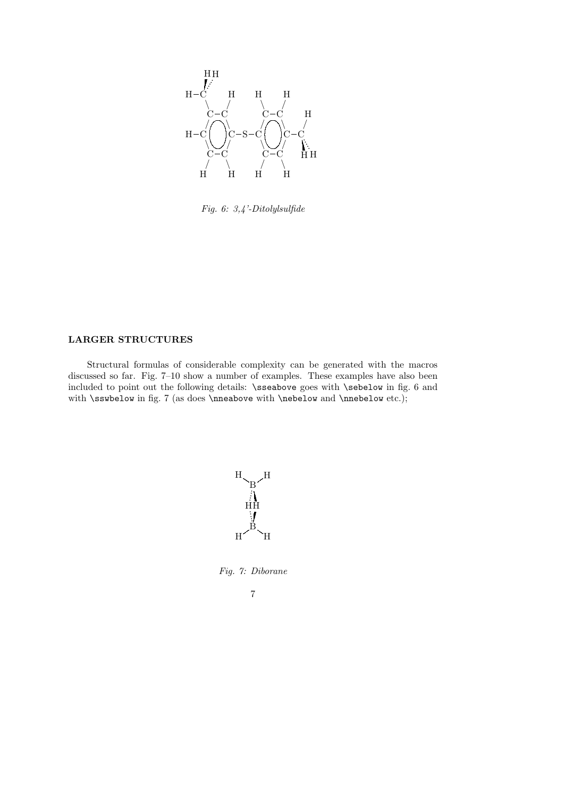

Fig. 6: 3,4'-Ditolylsulfide

# LARGER STRUCTURES

Structural formulas of considerable complexity can be generated with the macros discussed so far. Fig. 7–10 show a number of examples. These examples have also been included to point out the following details: \sseabove goes with \sebelow in fig. 6 and with  $\sigma$  in fig. 7 (as does  $\Omega$  with  $\neq$  and  $\Omega$  etc.);



Fig. 7: Diborane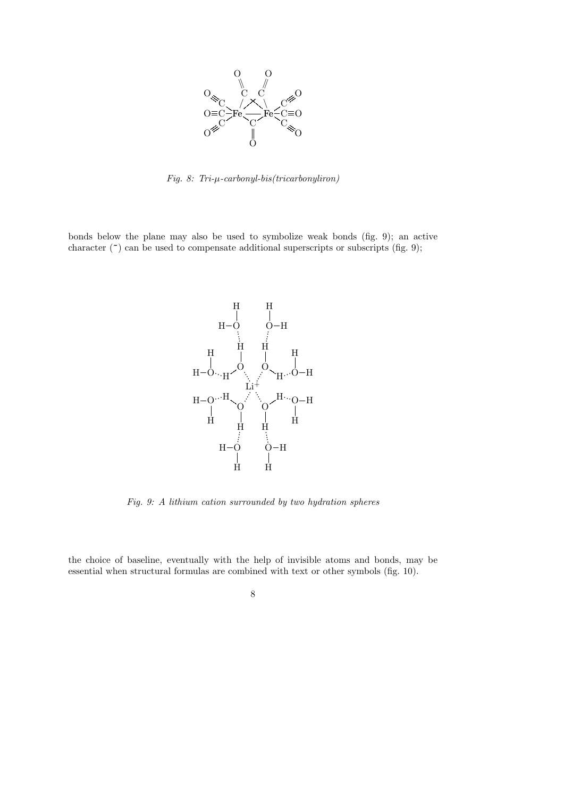

Fig. 8: Tri-µ-carbonyl-bis(tricarbonyliron)

bonds below the plane may also be used to symbolize weak bonds (fig. 9); an active character ( $\tilde{\ }$ ) can be used to compensate additional superscripts or subscripts (fig. 9);



Fig. 9: A lithium cation surrounded by two hydration spheres

the choice of baseline, eventually with the help of invisible atoms and bonds, may be essential when structural formulas are combined with text or other symbols (fig. 10).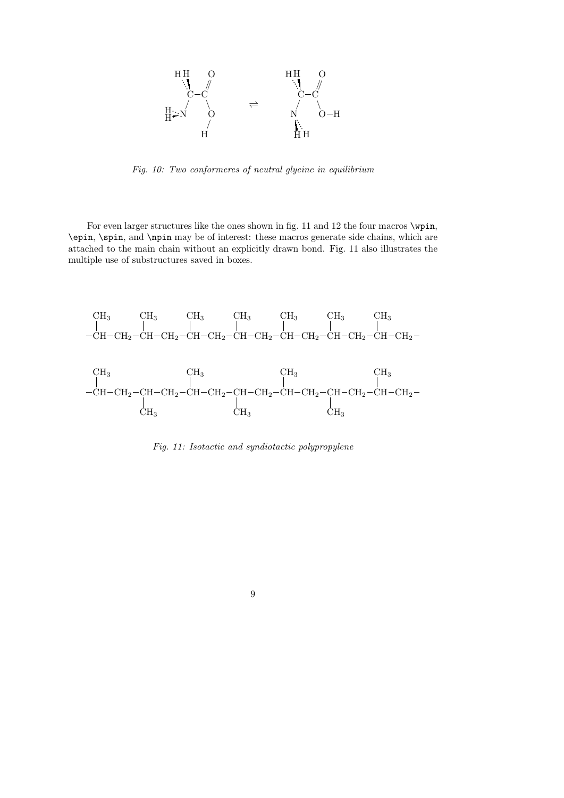![](_page_8_Figure_0.jpeg)

Fig. 10: Two conformeres of neutral glycine in equilibrium

For even larger structures like the ones shown in fig. 11 and 12 the four macros  $\varphi$ . \epin, \spin, and \npin may be of interest: these macros generate side chains, which are attached to the main chain without an explicitly drawn bond. Fig. 11 also illustrates the multiple use of substructures saved in boxes.

![](_page_8_Figure_3.jpeg)

Fig. 11: Isotactic and syndiotactic polypropylene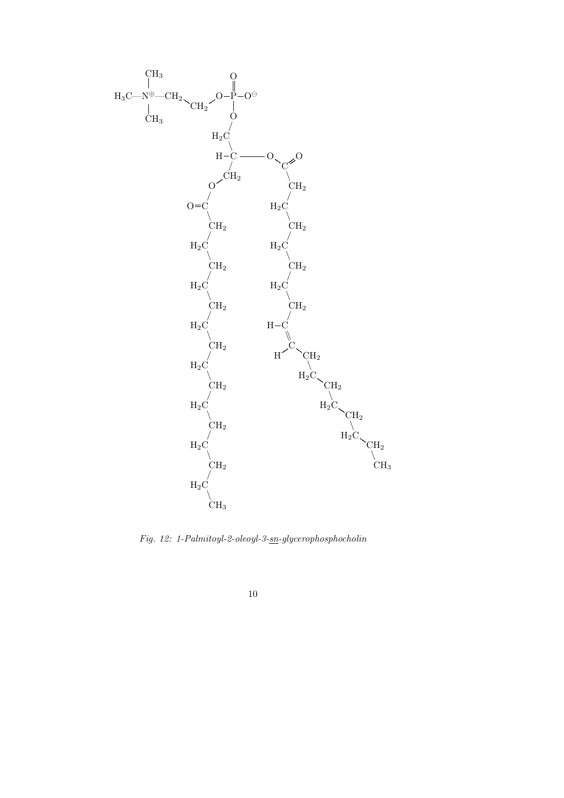![](_page_9_Figure_0.jpeg)

Fig. 12: 1-Palmitoyl-2-oleoyl-3-sn-glycerophosphocholin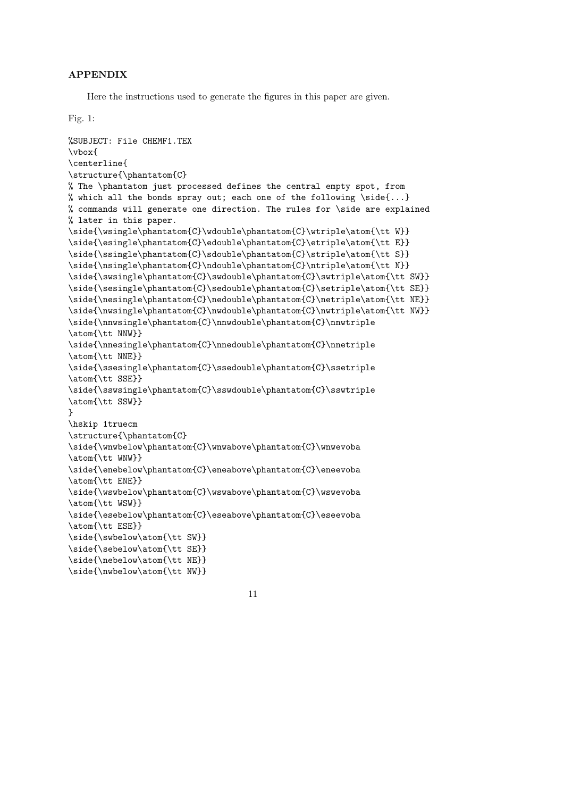# APPENDIX

Here the instructions used to generate the figures in this paper are given.

## Fig. 1:

```
%SUBJECT: File CHEMF1.TEX
\vbox{
\centerline{
\structure{\phantatom{C}
% The \phantatom just processed defines the central empty spot, from
% which all the bonds spray out; each one of the following \side{...}
% commands will generate one direction. The rules for \side are explained
% later in this paper.
\side{\wsingle\phantatom{C}\wdouble\phantatom{C}\wtriple\atom{\tt W}}
\side{\esingle\phantatom{C}\edouble\phantatom{C}\etriple\atom{\tt E}}
\side{\ssingle\phantatom{C}\sdouble\phantatom{C}\striple\atom{\tt S}}
\side{\nsingle\phantatom{C}\ndouble\phantatom{C}\ntriple\atom{\tt N}}
\side{\swsingle\phantatom{C}\swdouble\phantatom{C}\swtriple\atom{\tt SW}}
\side{\sesingle\phantatom{C}\sedouble\phantatom{C}\setriple\atom{\tt SE}}
\side{\nesingle\phantatom{C}\nedouble\phantatom{C}\netriple\atom{\tt NE}}
\side{\nwsingle\phantatom{C}\nwdouble\phantatom{C}\nwtriple\atom{\tt NW}}
\side{\nnwsingle\phantatom{C}\nnwdouble\phantatom{C}\nnwtriple
\atom{\tt NNW}}
\side{\nnesingle\phantatom{C}\nnedouble\phantatom{C}\nnetriple
\atom{\tt NNE}}
\side{\ssesingle\phantatom{C}\ssedouble\phantatom{C}\ssetriple
\atom{\tt SSE}}
\side{\sswsingle\phantatom{C}\sswdouble\phantatom{C}\sswtriple
\atom{\tt SSW}}
}
\hskip 1truecm
\structure{\phantatom{C}
\side{\wnwbelow\phantatom{C}\wnwabove\phantatom{C}\wnwevoba
\atom{\tt WNW}}
\side{\enebelow\phantatom{C}\eneabove\phantatom{C}\eneevoba
\atom{\tt ENE}}
\side{\wswbelow\phantatom{C}\wswabove\phantatom{C}\wswevoba
\atom{\tt WSW}}
\side{\esebelow\phantatom{C}\eseabove\phantatom{C}\eseevoba
\atom{\tt ESE}}
\side{\swbelow\atom{\tt SW}}
\side{\sebelow\atom{\tt SE}}
\side{\nebelow\atom{\tt NE}}
\side{\nwbelow\atom{\tt NW}}
```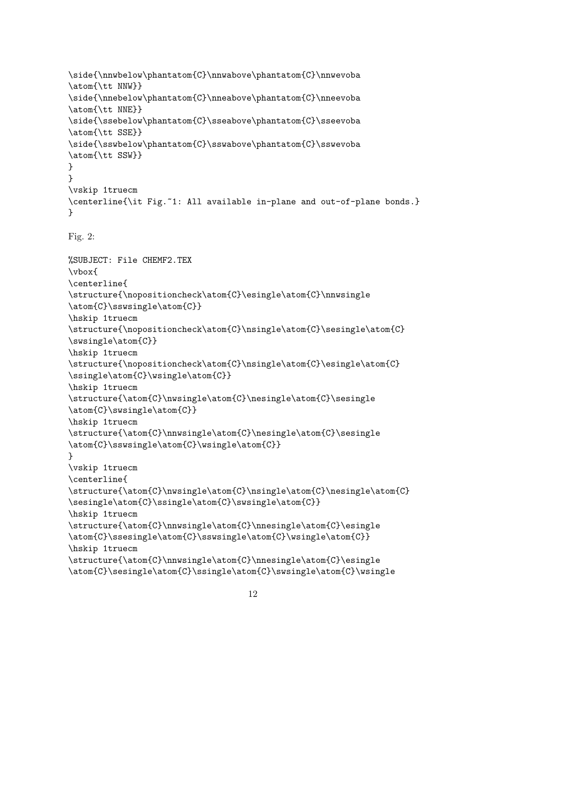```
\side{\nnwbelow\phantatom{C}\nnwabove\phantatom{C}\nnwevoba
\atom{\tt NNW}}
\side{\nnebelow\phantatom{C}\nneabove\phantatom{C}\nneevoba
\atom{\tt NNE}}
\side{\ssebelow\phantatom{C}\sseabove\phantatom{C}\sseevoba
\atom{\tt SSE}}
\side{\sswbelow\phantatom{C}\sswabove\phantatom{C}\sswevoba
\atom{\tt SSW}}
}
}
\vskip 1truecm
\centerline{\it Fig.~1: All available in-plane and out-of-plane bonds.}
}
Fig. 2:
%SUBJECT: File CHEMF2.TEX
\vbox{
\centerline{
\structure{\nopositioncheck\atom{C}\esingle\atom{C}\nnwsingle
\atom{C}\sswsingle\atom{C}}
\hskip 1truecm
\structure{\nopositioncheck\atom{C}\nsingle\atom{C}\sesingle\atom{C}
\swsingle\atom{C}}
\hskip 1truecm
\structure{\nopositioncheck\atom{C}\nsingle\atom{C}\esingle\atom{C}
\ssingle\atom{C}\wsingle\atom{C}}
\hskip 1truecm
\structure{\atom{C}\nwsingle\atom{C}\nesingle\atom{C}\sesingle
\atom{C}\swsingle\atom{C}}
\hskip 1truecm
\structure{\atom{C}\nnwsingle\atom{C}\nesingle\atom{C}\sesingle
\atom{C}\sswsingle\atom{C}\wsingle\atom{C}}
}
\vskip 1truecm
\centerline{
\structure{\atom{C}\nwsingle\atom{C}\nsingle\atom{C}\nesingle\atom{C}
\sesingle\atom{C}\ssingle\atom{C}\swsingle\atom{C}}
\hskip 1truecm
\structure{\atom{C}\nnwsingle\atom{C}\nnesingle\atom{C}\esingle
\atom{C}\ssesingle\atom{C}\sswsingle\atom{C}\wsingle\atom{C}}
\hskip 1truecm
\structure{\atom{C}\nnwsingle\atom{C}\nnesingle\atom{C}\esingle
\atom{C}\sesingle\atom{C}\ssingle\atom{C}\swsingle\atom{C}\wsingle
```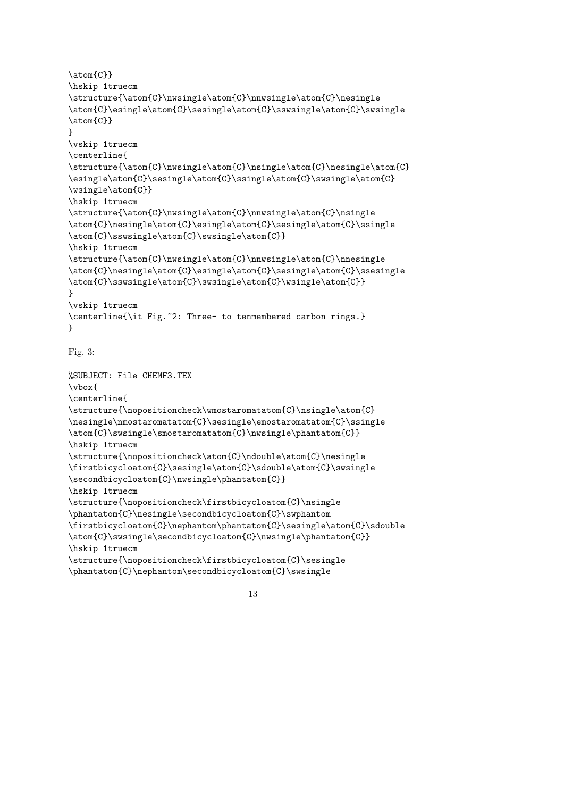```
\atom{C}}
\hskip 1truecm
\structure{\atom{C}\nwsingle\atom{C}\nnwsingle\atom{C}\nesingle
\atom{C}\esingle\atom{C}\sesingle\atom{C}\sswsingle\atom{C}\swsingle
\atom{C}}
}
\vskip 1truecm
\centerline{
\structure{\atom{C}\nwsingle\atom{C}\nsingle\atom{C}\nesingle\atom{C}
\esingle\atom{C}\sesingle\atom{C}\ssingle\atom{C}\swsingle\atom{C}
\wsingle\atom{C}}
\hskip 1truecm
\structure{\atom{C}\nwsingle\atom{C}\nnwsingle\atom{C}\nsingle
\atom{C}\nesingle\atom{C}\esingle\atom{C}\sesingle\atom{C}\ssingle
\atom{C}\sswsingle\atom{C}\swsingle\atom{C}}
\hskip 1truecm
\structure{\atom{C}\nwsingle\atom{C}\nnwsingle\atom{C}\nnesingle
\atom{C}\nesingle\atom{C}\esingle\atom{C}\sesingle\atom{C}\ssesingle
\atom{C}\sswsingle\atom{C}\swsingle\atom{C}\wsingle\atom{C}}
}
\vskip 1truecm
\centerline{\it Fig.~2: Three- to tenmembered carbon rings.}
}
Fig. 3:
%SUBJECT: File CHEMF3.TEX
\vbox{
\centerline{
\structure{\nopositioncheck\wmostaromatatom{C}\nsingle\atom{C}
\nesingle\nmostaromatatom{C}\sesingle\emostaromatatom{C}\ssingle
\atom{C}\swsingle\smostaromatatom{C}\nwsingle\phantatom{C}}
\hskip 1truecm
\structure{\nopositioncheck\atom{C}\ndouble\atom{C}\nesingle
\firstbicycloatom{C}\sesingle\atom{C}\sdouble\atom{C}\swsingle
\secondbicycloatom{C}\nwsingle\phantatom{C}}
\hskip 1truecm
\structure{\nopositioncheck\firstbicycloatom{C}\nsingle
\phantatom{C}\nesingle\secondbicycloatom{C}\swphantom
\firstbicycloatom{C}\nephantom\phantatom{C}\sesingle\atom{C}\sdouble
\atom{C}\swsingle\secondbicycloatom{C}\nwsingle\phantatom{C}}
\hskip 1truecm
\structure{\nopositioncheck\firstbicycloatom{C}\sesingle
\phantatom{C}\nephantom\secondbicycloatom{C}\swsingle
```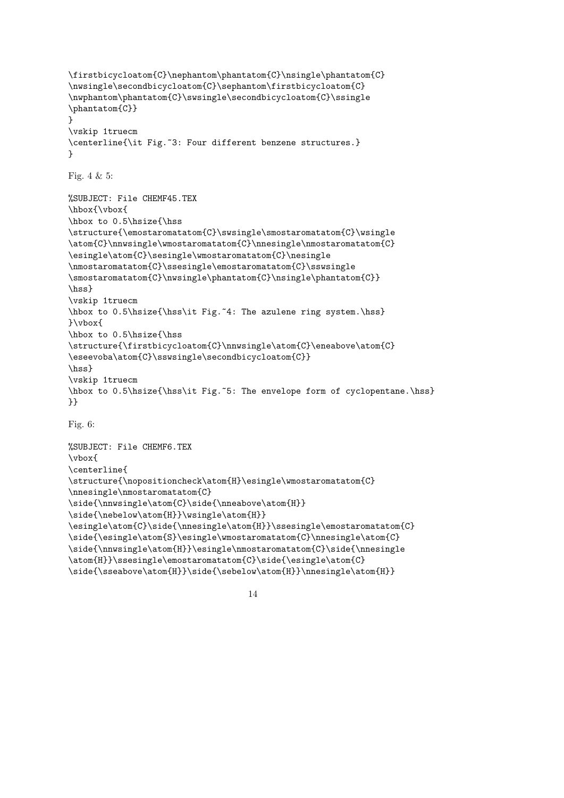```
\firstbicycloatom{C}\nephantom\phantatom{C}\nsingle\phantatom{C}
\nwsingle\secondbicycloatom{C}\sephantom\firstbicycloatom{C}
\nwphantom\phantatom{C}\swsingle\secondbicycloatom{C}\ssingle
\phantatom{C}}
}
\vskip 1truecm
\centerline{\it Fig.~3: Four different benzene structures.}
}
Fig. 4 & 5:
%SUBJECT: File CHEMF45.TEX
\hbox{\vbox{
\hbox to 0.5\hsize{\hss
\structure{\emostaromatatom{C}\swsingle\smostaromatatom{C}\wsingle
\atom{C}\nnwsingle\wmostaromatatom{C}\nnesingle\nmostaromatatom{C}
\esingle\atom{C}\sesingle\wmostaromatatom{C}\nesingle
\nmostaromatatom{C}\ssesingle\emostaromatatom{C}\sswsingle
\smostaromatatom{C}\nwsingle\phantatom{C}\nsingle\phantatom{C}}
\hss}
\vskip 1truecm
\hbox to 0.5\hsize{\hss\it Fig.~4: The azulene ring system.\hss}
}\vbox{
\hbox to 0.5\hsize{\hss
\structure{\firstbicycloatom{C}\nnwsingle\atom{C}\eneabove\atom{C}
\eseevoba\atom{C}\sswsingle\secondbicycloatom{C}}
\hss}
\vskip 1truecm
\hbox to 0.5\hsize{\hss\it Fig.~5: The envelope form of cyclopentane.\hss}
}}
Fig. 6:
```

```
%SUBJECT: File CHEMF6.TEX
\vbox{
\centerline{
\structure{\nopositioncheck\atom{H}\esingle\wmostaromatatom{C}
\nnesingle\nmostaromatatom{C}
\side{\nnwsingle\atom{C}\side{\nneabove\atom{H}}
\side{\nebelow\atom{H}}\wsingle\atom{H}}
\esingle\atom{C}\side{\nnesingle\atom{H}}\ssesingle\emostaromatatom{C}
\side{\esingle\atom{S}\esingle\wmostaromatatom{C}\nnesingle\atom{C}
\side{\nnwsingle\atom{H}}\esingle\nmostaromatatom{C}\side{\nnesingle
\atom{H}}\ssesingle\emostaromatatom{C}\side{\esingle\atom{C}
\side{\sseabove\atom{H}}\side{\sebelow\atom{H}}\nnesingle\atom{H}}
```

```
14
```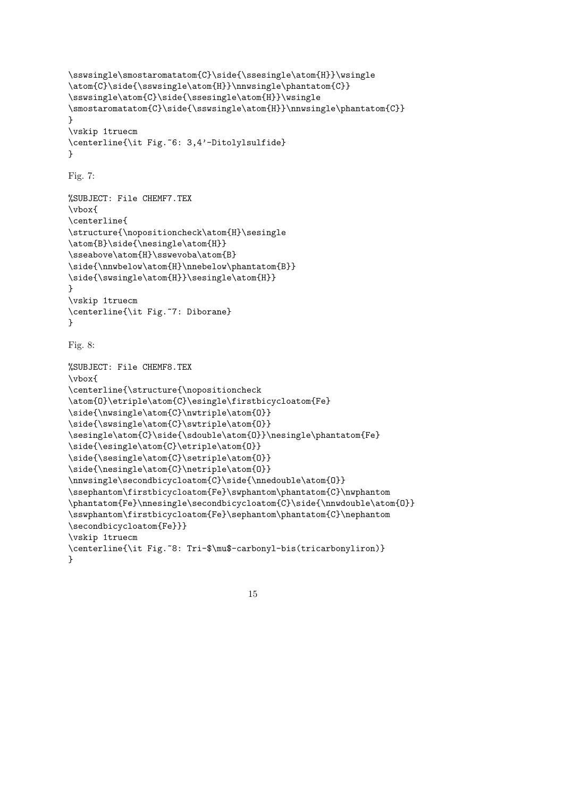```
\sswsingle\smostaromatatom{C}\side{\ssesingle\atom{H}}\wsingle
\atom{C}\side{\sswsingle\atom{H}}\nnwsingle\phantatom{C}}
\sswsingle\atom{C}\side{\ssesingle\atom{H}}\wsingle
\smostaromatatom{C}\side{\sswsingle\atom{H}}\nnwsingle\phantatom{C}}
}
\vskip 1truecm
\centerline{\it Fig.~6: 3,4'-Ditolylsulfide}
}
Fig. 7:
%SUBJECT: File CHEMF7.TEX
\vbox{
\centerline{
\structure{\nopositioncheck\atom{H}\sesingle
\atom{B}\side{\nesingle\atom{H}}
\sseabove\atom{H}\sswevoba\atom{B}
\side{\nnwbelow\atom{H}\nnebelow\phantatom{B}}
\side{\swsingle\atom{H}}\sesingle\atom{H}}
}
\vskip 1truecm
\centerline{\it Fig.~7: Diborane}
}
Fig. 8:
%SUBJECT: File CHEMF8.TEX
\vbox{
\centerline{\structure{\nopositioncheck
\atom{O}\etriple\atom{C}\esingle\firstbicycloatom{Fe}
\side{\nwsingle\atom{C}\nwtriple\atom{O}}
\side{\swsingle\atom{C}\swtriple\atom{O}}
\sesingle\atom{C}\side{\sdouble\atom{O}}\nesingle\phantatom{Fe}
\side{\esingle\atom{C}\etriple\atom{O}}
\side{\sesingle\atom{C}\setriple\atom{O}}
\side{\nesingle\atom{C}\netriple\atom{O}}
\nnwsingle\secondbicycloatom{C}\side{\nnedouble\atom{O}}
\ssephantom\firstbicycloatom{Fe}\swphantom\phantatom{C}\nwphantom
\phantatom{Fe}\nnesingle\secondbicycloatom{C}\side{\nnwdouble\atom{0}}
\sswphantom\firstbicycloatom{Fe}\sephantom\phantatom{C}\nephantom
\secondbicycloatom{Fe}}}
\vskip 1truecm
\centerline{\it Fig.~8: Tri-$\mu$-carbonyl-bis(tricarbonyliron)}
}
```

```
15
```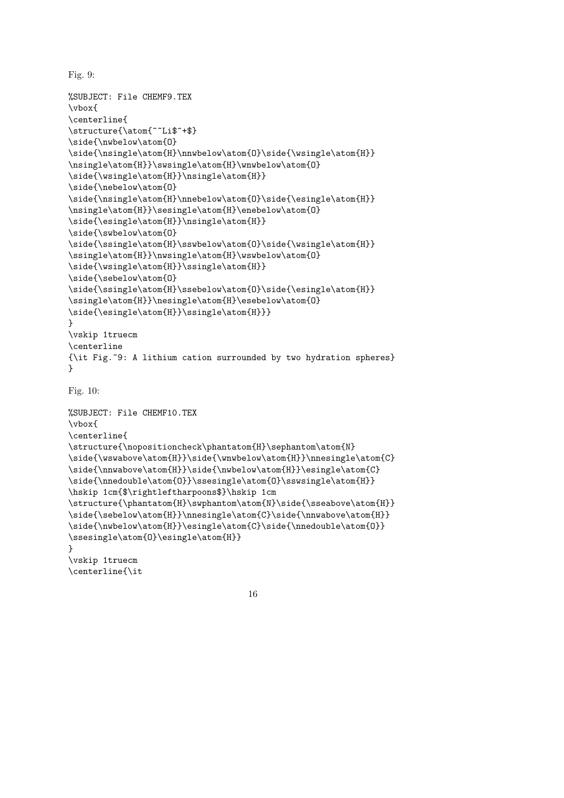```
Fig. 9:
```

```
%SUBJECT: File CHEMF9.TEX
\vbox{
\centerline{
\structure{\atom{~~Li$^+$}
\side{\nwbelow\atom{0}
\side{\nsingle\atom{H}\nnwbelow\atom{O}\side{\wsingle\atom{H}}
\nsingle\atom{H}}\swsingle\atom{H}\wnwbelow\atom{O}
\side{\wsingle\atom{H}}\nsingle\atom{H}}
\side{\nebelow\atom{O}
\side{\nsingle\atom{H}\nnebelow\atom{O}\side{\esingle\atom{H}}
\nsingle\atom{H}}\sesingle\atom{H}\enebelow\atom{O}
\side{\esingle\atom{H}}\nsingle\atom{H}}
\side{\swbelow\atom{O}
\side{\ssingle\atom{H}\sswbelow\atom{O}\side{\wsingle\atom{H}}
\ssingle\atom{H}}\nwsingle\atom{H}\wswbelow\atom{O}
\side{\wsingle\atom{H}}\ssingle\atom{H}}
\side{\sebelow\atom{O}
\side{\ssingle\atom{H}\ssebelow\atom{0}\side{\esingle\atom{H}}
\ssingle\atom{H}}\nesingle\atom{H}\esebelow\atom{O}
\side{\esingle\atom{H}}\ssingle\atom{H}}}
}
\vskip 1truecm
\centerline
{\it Fig.~9: A lithium cation surrounded by two hydration spheres}
}
Fig. 10:
%SUBJECT: File CHEMF10.TEX
\vbox{
\centerline{
\structure{\nopositioncheck\phantatom{H}\sephantom\atom{N}
\side{\wswabove\atom{H}}\side{\wnwbelow\atom{H}}\nnesingle\atom{C}
\side{\nnwabove\atom{H}}\side{\nwbelow\atom{H}}\esingle\atom{C}
\side{\nnedouble\atom{0}}\ssesingle\atom{0}\sswsingle\atom{H}}
\hskip 1cm{$\rightleftharpoons$}\hskip 1cm
\structure{\phantatom{H}\swphantom\atom{N}\side{\sseabove\atom{H}}
\side{\sebelow\atom{H}}\nnesingle\atom{C}\side{\nnwabove\atom{H}}
\side{\nwbelow\atom{H}}\esingle\atom{C}\side{\nnedouble\atom{0}}
\ssesingle\atom{O}\esingle\atom{H}}
}
\vskip 1truecm
\centerline{\it
```
16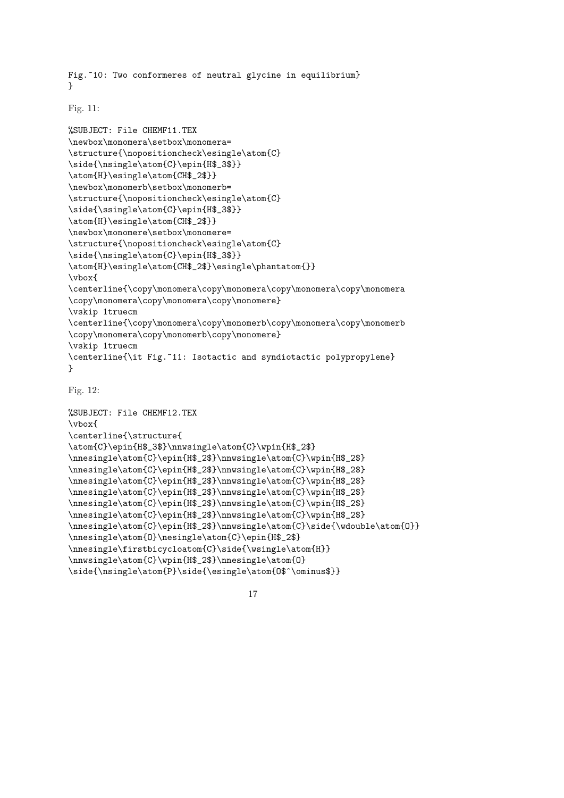Fig.~10: Two conformeres of neutral glycine in equilibrium} }

Fig. 11:

```
%SUBJECT: File CHEMF11.TEX
\newbox\monomera\setbox\monomera=
\structure{\nopositioncheck\esingle\atom{C}
\side{\nsingle\atom{C}\epin{H$_3$}}
\atom{H}\esingle\atom{CH$_2$}}
\newbox\monomerb\setbox\monomerb=
\structure{\nopositioncheck\esingle\atom{C}
\side{\ssingle\atom{C}\epin{H$_3$}}
\atom{H}\esingle\atom{CH$_2$}}
\newbox\monomere\setbox\monomere=
\structure{\nopositioncheck\esingle\atom{C}
\side{\nsingle\atom{C}\epin{H$_3$}}
\atom{H}\esingle\atom{CH$_2$}\esingle\phantatom{}}
\vbox{
\centerline{\copy\monomera\copy\monomera\copy\monomera\copy\monomera
\copy\monomera\copy\monomera\copy\monomere}
\vskip 1truecm
\centerline{\copy\monomera\copy\monomerb\copy\monomera\copy\monomerb
\copy\monomera\copy\monomerb\copy\monomere}
\vskip 1truecm
\centerline{\it Fig.~11: Isotactic and syndiotactic polypropylene}
}
```
Fig. 12:

```
%SUBJECT: File CHEMF12.TEX
\vbox{
\centerline{\structure{
\atom{C}\epin{H$_3$}\nnwsingle\atom{C}\wpin{H$_2$}
\nnesingle\atom{C}\epin{H$_2$}\nnwsingle\atom{C}\wpin{H$_2$}
\nnesingle\atom{C}\epin{H$_2$}\nnwsingle\atom{C}\wpin{H$_2$}
\nnesingle\atom{C}\epin{H$_2$}\nnwsingle\atom{C}\wpin{H$_2$}
\nnesingle\atom{C}\epin{H$_2$}\nnwsingle\atom{C}\wpin{H$_2$}
\nnesingle\atom{C}\epin{H$_2$}\nnwsingle\atom{C}\wpin{H$_2$}
\nnesingle\atom{C}\epin{H$_2$}\nnwsingle\atom{C}\wpin{H$_2$}
\nnesingle\atom{C}\epin{H$_2$}\nnwsingle\atom{C}\side{\wdouble\atom{O}}
\nnesingle\atom{O}\nesingle\atom{C}\epin{H$_2$}
\nnesingle\firstbicycloatom{C}\side{\wsingle\atom{H}}
\nnwsingle\atom{C}\wpin{H$_2$}\nnesingle\atom{O}
\side{\nsingle\atom{P}\side{\esingle\atom{O$^\ominus$}}
```